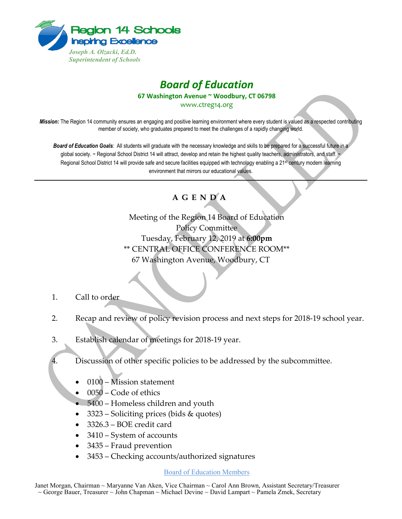

## *Board of Education*

**67 Washington Avenue ~ Woodbury, CT 06798**

www.ctreg14.org

*Mission:* The Region 14 community ensures an engaging and positive learning environment where every student is valued as a respected contributing member of society, who graduates prepared to meet the challenges of a rapidly changing world.

*Board of Education Goals:* All students will graduate with the necessary knowledge and skills to be prepared for a successful future in a global society. ~ Regional School District 14 will attract, develop and retain the highest quality teachers, administrators, and staff. Regional School District 14 will provide safe and secure facilities equipped with technology enabling a 21<sup>st</sup> century modern learning environment that mirrors our educational values.

## **A G E N D A**

Meeting of the Region 14 Board of Education Policy Committee Tuesday, February 12, 2019 at **6:00pm** \*\* CENTRAL OFFICE CONFERENCE ROOM\*\* 67 Washington Avenue, Woodbury, CT

- 1. Call to order
- 2. Recap and review of policy revision process and next steps for 2018-19 school year.
- 3. Establish calendar of meetings for 2018-19 year.
- 4. Discussion of other specific policies to be addressed by the subcommittee.
	- 0100 Mission statement
	- 0050 Code of ethics
	- 5400 Homeless children and youth
	- 3323 Soliciting prices (bids & quotes)
	- 3326.3 BOE credit card
	- 3410 System of accounts
	- 3435 Fraud prevention
	- 3453 Checking accounts/authorized signatures

## Board of Education Members